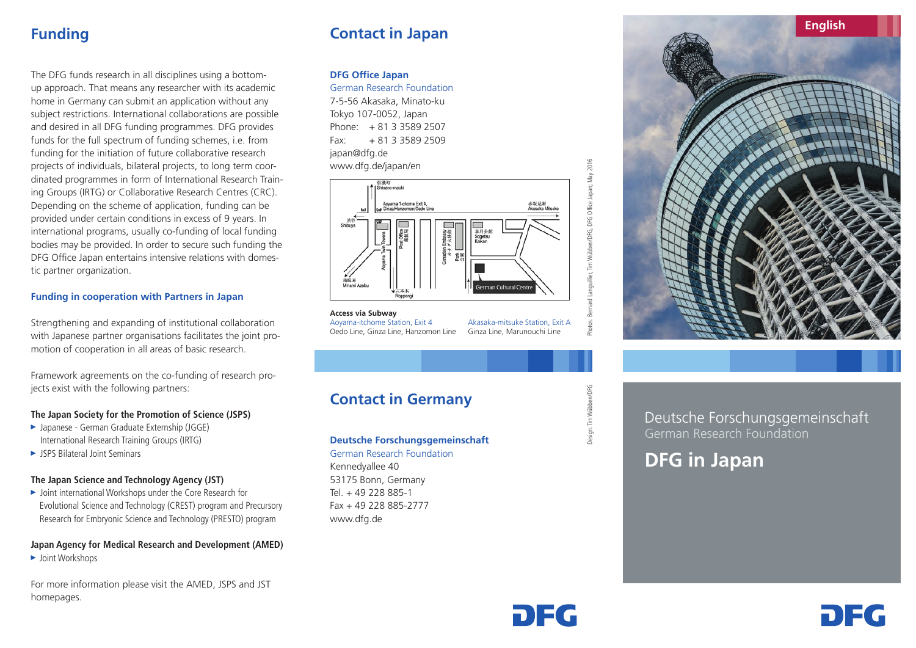## **Funding**

The DFG funds research in all disciplines using a bottomup approach. That means any researcher with its academic home in Germany can submit an application without any subject restrictions. International collaborations are possible and desired in all DFG funding programmes. DFG provides funds for the full spectrum of funding schemes, i.e. from funding for the initiation of future collaborative research projects of individuals, bilateral projects, to long term coordinated programmes in form of International Research Training Groups (IRTG) or Collaborative Research Centres (CRC). Depending on the scheme of application, funding can be provided under certain conditions in excess of 9 years. In international programs, usually co-funding of local funding bodies may be provided. In order to secure such funding the DFG Office Japan entertains intensive relations with domestic partner organization.

## **Funding in cooperation with Partners in Japan**

Strengthening and expanding of institutional collaboration with Japanese partner organisations facilitates the joint promotion of cooperation in all areas of basic research.

Framework agreements on the co-funding of research projects exist with the following partners:

## **The Japan Society for the Promotion of Science (JSPS)**

- ► Japanese German Graduate Externship (JGGE) International Research Training Groups (IRTG)
- ► JSPS Bilateral Joint Seminars

## **The Japan Science and Technology Agency (JST)**

► Joint international Workshops under the Core Research for Evolutional Science and Technology (CREST) program and Precursory Research for Embryonic Science and Technology (PRESTO) program

## **Japan Agency for Medical Research and Development (AMED)**

► Joint Workshops

For more information please visit the AMED, JSPS and JST homepages.

# **Contact in Japan**

## **DFG Office Japan**

German Research Foundation

7-5-56 Akasaka, Minato-ku Tokyo 107-0052, Japan Phone: + 81 3 3589 2507  $Fax: + 81335892509$ japan@dfg.de www.dfg.de/japan/en



**Access via Subway** Aoyama-itchome Station, Exit 4 Oedo Line, Ginza Line, Hanzomon Line

Akasaka-mitsuke Station, Exit A Ginza Line, Marunouchi Line

# **Contact in Germany**

## **Deutsche Forschungsgemeinschaft**

German Research Foundation Kennedyallee 40 53175 Bonn, Germany Tel. + 49 228 885-1 Fax + 49 228 885-2777 www.dfg.de



Photos: Bernard Languillier, Tim Wübben/DFG, DFG Office Japan; May 2016

d Languillier, Tim Wübben/DFG, DFG Office Japan; May 2016

Design: Tim Wübben/DFG

design: Tim Wübben/DFG

Deutsche Forschungsgemeinschaft German Research Foundation

DE G

# **DFG in Japan**